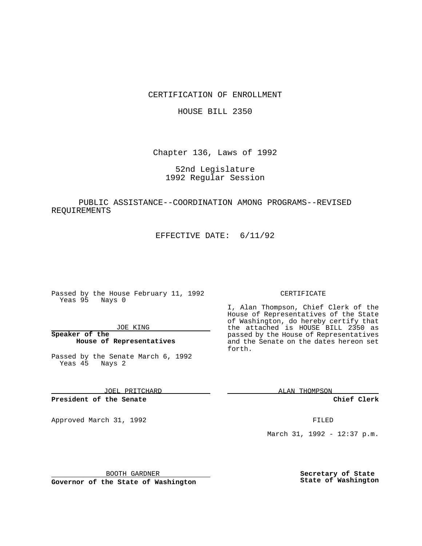CERTIFICATION OF ENROLLMENT

HOUSE BILL 2350

Chapter 136, Laws of 1992

52nd Legislature 1992 Regular Session

PUBLIC ASSISTANCE--COORDINATION AMONG PROGRAMS--REVISED REQUIREMENTS

EFFECTIVE DATE: 6/11/92

Passed by the House February 11, 1992 Yeas 95 Nays 0

JOE KING

**Speaker of the House of Representatives**

Passed by the Senate March 6, 1992 Yeas 45 Nays 2

JOEL PRITCHARD

**President of the Senate**

Approved March 31, 1992 **FILED** 

## CERTIFICATE

I, Alan Thompson, Chief Clerk of the House of Representatives of the State of Washington, do hereby certify that the attached is HOUSE BILL 2350 as passed by the House of Representatives and the Senate on the dates hereon set forth.

ALAN THOMPSON

**Chief Clerk**

March 31, 1992 - 12:37 p.m.

BOOTH GARDNER

**Governor of the State of Washington**

**Secretary of State State of Washington**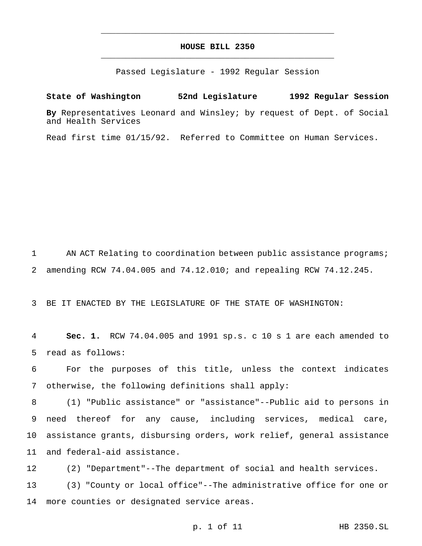## **HOUSE BILL 2350** \_\_\_\_\_\_\_\_\_\_\_\_\_\_\_\_\_\_\_\_\_\_\_\_\_\_\_\_\_\_\_\_\_\_\_\_\_\_\_\_\_\_\_\_\_\_\_

\_\_\_\_\_\_\_\_\_\_\_\_\_\_\_\_\_\_\_\_\_\_\_\_\_\_\_\_\_\_\_\_\_\_\_\_\_\_\_\_\_\_\_\_\_\_\_

Passed Legislature - 1992 Regular Session

**State of Washington 52nd Legislature 1992 Regular Session By** Representatives Leonard and Winsley; by request of Dept. of Social and Health Services

Read first time 01/15/92. Referred to Committee on Human Services.

1 AN ACT Relating to coordination between public assistance programs; 2 amending RCW 74.04.005 and 74.12.010; and repealing RCW 74.12.245.

3 BE IT ENACTED BY THE LEGISLATURE OF THE STATE OF WASHINGTON:

4 **Sec. 1.** RCW 74.04.005 and 1991 sp.s. c 10 s 1 are each amended to 5 read as follows:

6 For the purposes of this title, unless the context indicates 7 otherwise, the following definitions shall apply:

 (1) "Public assistance" or "assistance"--Public aid to persons in need thereof for any cause, including services, medical care, assistance grants, disbursing orders, work relief, general assistance and federal-aid assistance.

12 (2) "Department"--The department of social and health services. 13 (3) "County or local office"--The administrative office for one or 14 more counties or designated service areas.

p. 1 of 11 HB 2350.SL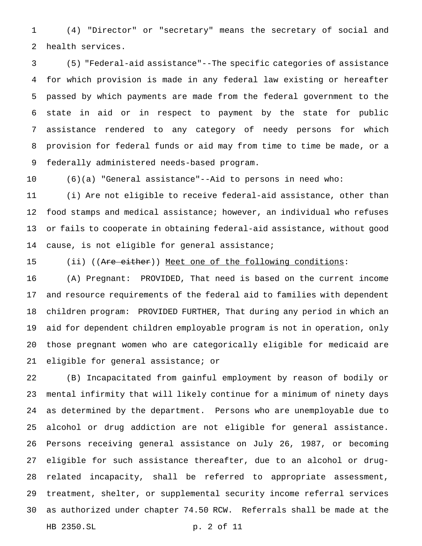(4) "Director" or "secretary" means the secretary of social and health services.

 (5) "Federal-aid assistance"--The specific categories of assistance for which provision is made in any federal law existing or hereafter passed by which payments are made from the federal government to the state in aid or in respect to payment by the state for public assistance rendered to any category of needy persons for which provision for federal funds or aid may from time to time be made, or a federally administered needs-based program.

(6)(a) "General assistance"--Aid to persons in need who:

 (i) Are not eligible to receive federal-aid assistance, other than food stamps and medical assistance; however, an individual who refuses or fails to cooperate in obtaining federal-aid assistance, without good cause, is not eligible for general assistance;

15 (ii) ((Are either)) Meet one of the following conditions:

 (A) Pregnant: PROVIDED, That need is based on the current income and resource requirements of the federal aid to families with dependent children program: PROVIDED FURTHER, That during any period in which an aid for dependent children employable program is not in operation, only those pregnant women who are categorically eligible for medicaid are eligible for general assistance; or

 (B) Incapacitated from gainful employment by reason of bodily or mental infirmity that will likely continue for a minimum of ninety days as determined by the department. Persons who are unemployable due to alcohol or drug addiction are not eligible for general assistance. Persons receiving general assistance on July 26, 1987, or becoming eligible for such assistance thereafter, due to an alcohol or drug- related incapacity, shall be referred to appropriate assessment, treatment, shelter, or supplemental security income referral services as authorized under chapter 74.50 RCW. Referrals shall be made at the HB 2350.SL p. 2 of 11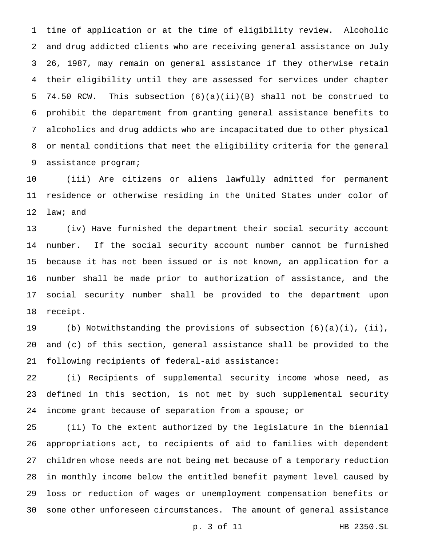time of application or at the time of eligibility review. Alcoholic and drug addicted clients who are receiving general assistance on July 26, 1987, may remain on general assistance if they otherwise retain their eligibility until they are assessed for services under chapter 74.50 RCW. This subsection (6)(a)(ii)(B) shall not be construed to prohibit the department from granting general assistance benefits to alcoholics and drug addicts who are incapacitated due to other physical or mental conditions that meet the eligibility criteria for the general assistance program;

 (iii) Are citizens or aliens lawfully admitted for permanent residence or otherwise residing in the United States under color of law; and

 (iv) Have furnished the department their social security account number. If the social security account number cannot be furnished because it has not been issued or is not known, an application for a number shall be made prior to authorization of assistance, and the social security number shall be provided to the department upon receipt.

 (b) Notwithstanding the provisions of subsection (6)(a)(i), (ii), and (c) of this section, general assistance shall be provided to the following recipients of federal-aid assistance:

 (i) Recipients of supplemental security income whose need, as defined in this section, is not met by such supplemental security income grant because of separation from a spouse; or

 (ii) To the extent authorized by the legislature in the biennial appropriations act, to recipients of aid to families with dependent children whose needs are not being met because of a temporary reduction in monthly income below the entitled benefit payment level caused by loss or reduction of wages or unemployment compensation benefits or some other unforeseen circumstances. The amount of general assistance

p. 3 of 11 HB 2350.SL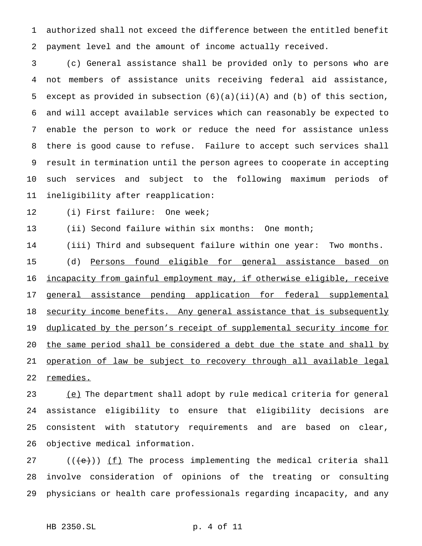authorized shall not exceed the difference between the entitled benefit payment level and the amount of income actually received.

 (c) General assistance shall be provided only to persons who are not members of assistance units receiving federal aid assistance, except as provided in subsection (6)(a)(ii)(A) and (b) of this section, and will accept available services which can reasonably be expected to enable the person to work or reduce the need for assistance unless there is good cause to refuse. Failure to accept such services shall result in termination until the person agrees to cooperate in accepting such services and subject to the following maximum periods of ineligibility after reapplication:

(i) First failure: One week;

13 (ii) Second failure within six months: One month;

 (iii) Third and subsequent failure within one year: Two months. (d) Persons found eligible for general assistance based on 16 incapacity from gainful employment may, if otherwise eligible, receive general assistance pending application for federal supplemental 18 security income benefits. Any general assistance that is subsequently 19 duplicated by the person's receipt of supplemental security income for 20 the same period shall be considered a debt due the state and shall by operation of law be subject to recovery through all available legal remedies.

23 (e) The department shall adopt by rule medical criteria for general assistance eligibility to ensure that eligibility decisions are consistent with statutory requirements and are based on clear, objective medical information.

27 ( $(\text{e})$ ) (f) The process implementing the medical criteria shall involve consideration of opinions of the treating or consulting physicians or health care professionals regarding incapacity, and any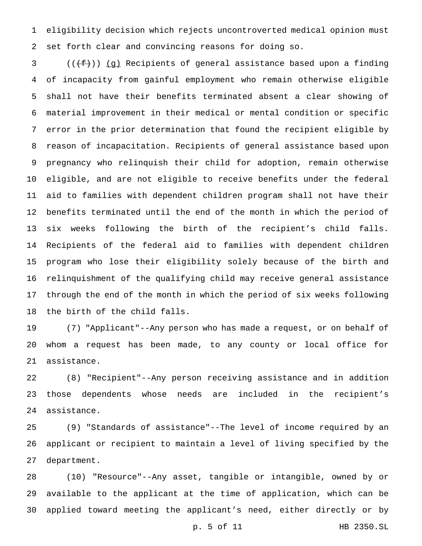eligibility decision which rejects uncontroverted medical opinion must set forth clear and convincing reasons for doing so.

3 ( $(\{\text{f}\})$ ) (g) Recipients of general assistance based upon a finding of incapacity from gainful employment who remain otherwise eligible shall not have their benefits terminated absent a clear showing of material improvement in their medical or mental condition or specific error in the prior determination that found the recipient eligible by reason of incapacitation. Recipients of general assistance based upon pregnancy who relinquish their child for adoption, remain otherwise eligible, and are not eligible to receive benefits under the federal aid to families with dependent children program shall not have their benefits terminated until the end of the month in which the period of six weeks following the birth of the recipient's child falls. Recipients of the federal aid to families with dependent children program who lose their eligibility solely because of the birth and relinquishment of the qualifying child may receive general assistance through the end of the month in which the period of six weeks following the birth of the child falls.

 (7) "Applicant"--Any person who has made a request, or on behalf of whom a request has been made, to any county or local office for assistance.

 (8) "Recipient"--Any person receiving assistance and in addition those dependents whose needs are included in the recipient's assistance.

 (9) "Standards of assistance"--The level of income required by an applicant or recipient to maintain a level of living specified by the department.

 (10) "Resource"--Any asset, tangible or intangible, owned by or available to the applicant at the time of application, which can be applied toward meeting the applicant's need, either directly or by

p. 5 of 11 HB 2350.SL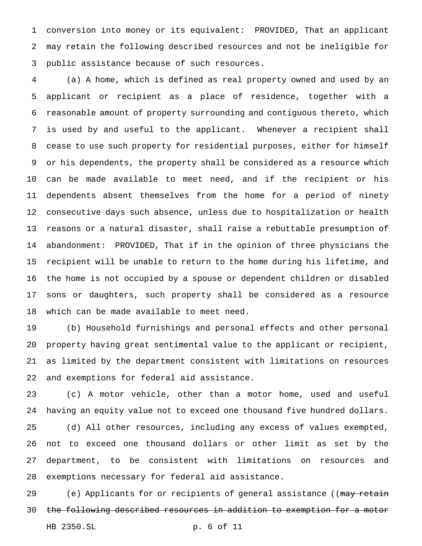conversion into money or its equivalent: PROVIDED, That an applicant may retain the following described resources and not be ineligible for public assistance because of such resources.

 (a) A home, which is defined as real property owned and used by an applicant or recipient as a place of residence, together with a reasonable amount of property surrounding and contiguous thereto, which is used by and useful to the applicant. Whenever a recipient shall cease to use such property for residential purposes, either for himself or his dependents, the property shall be considered as a resource which can be made available to meet need, and if the recipient or his dependents absent themselves from the home for a period of ninety consecutive days such absence, unless due to hospitalization or health reasons or a natural disaster, shall raise a rebuttable presumption of abandonment: PROVIDED, That if in the opinion of three physicians the recipient will be unable to return to the home during his lifetime, and the home is not occupied by a spouse or dependent children or disabled sons or daughters, such property shall be considered as a resource which can be made available to meet need.

 (b) Household furnishings and personal effects and other personal property having great sentimental value to the applicant or recipient, as limited by the department consistent with limitations on resources and exemptions for federal aid assistance.

 (c) A motor vehicle, other than a motor home, used and useful having an equity value not to exceed one thousand five hundred dollars. (d) All other resources, including any excess of values exempted, not to exceed one thousand dollars or other limit as set by the department, to be consistent with limitations on resources and exemptions necessary for federal aid assistance.

29 (e) Applicants for or recipients of general assistance ((may retain the following described resources in addition to exemption for a motor HB 2350.SL p. 6 of 11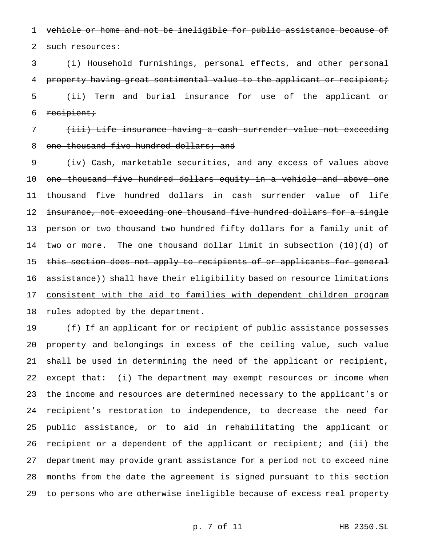1 vehicle or home and not be ineligible for public assistance because of

2 such resources:

3 (i) Household furnishings, personal effects, and other personal 4 property having great sentimental value to the applicant or recipient; 5 <del>(ii) Term and burial insurance for use of the applicant or</del> 6 recipient;

7 (iii) Life insurance having a cash surrender value not exceeding 8 one thousand five hundred dollars; and

9 (iv) Cash, marketable securities, and any excess of values above 10 one thousand five hundred dollars equity in a vehicle and above one 11 thousand five hundred dollars in cash surrender value of life 12 insurance, not exceeding one thousand five hundred dollars for a single 13 person or two thousand two hundred fifty dollars for a family unit of 14 two or more. The one thousand dollar limit in subsection (10)(d) of 15 this section does not apply to recipients of or applicants for general 16 assistance)) shall have their eligibility based on resource limitations 17 consistent with the aid to families with dependent children program 18 rules adopted by the department.

 (f) If an applicant for or recipient of public assistance possesses property and belongings in excess of the ceiling value, such value shall be used in determining the need of the applicant or recipient, except that: (i) The department may exempt resources or income when the income and resources are determined necessary to the applicant's or recipient's restoration to independence, to decrease the need for public assistance, or to aid in rehabilitating the applicant or recipient or a dependent of the applicant or recipient; and (ii) the department may provide grant assistance for a period not to exceed nine months from the date the agreement is signed pursuant to this section to persons who are otherwise ineligible because of excess real property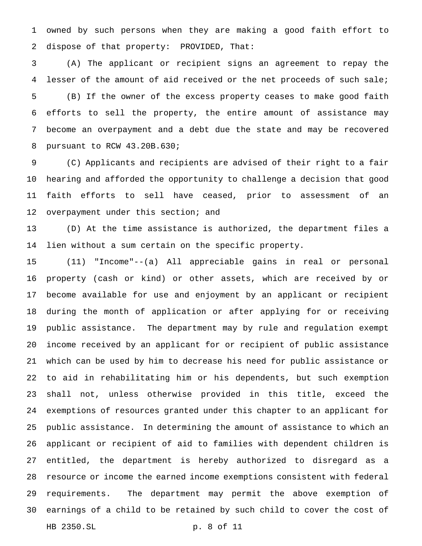owned by such persons when they are making a good faith effort to dispose of that property: PROVIDED, That:

 (A) The applicant or recipient signs an agreement to repay the lesser of the amount of aid received or the net proceeds of such sale; (B) If the owner of the excess property ceases to make good faith efforts to sell the property, the entire amount of assistance may become an overpayment and a debt due the state and may be recovered pursuant to RCW 43.20B.630;

 (C) Applicants and recipients are advised of their right to a fair hearing and afforded the opportunity to challenge a decision that good faith efforts to sell have ceased, prior to assessment of an 12 overpayment under this section; and

 (D) At the time assistance is authorized, the department files a lien without a sum certain on the specific property.

 (11) "Income"--(a) All appreciable gains in real or personal property (cash or kind) or other assets, which are received by or become available for use and enjoyment by an applicant or recipient during the month of application or after applying for or receiving public assistance. The department may by rule and regulation exempt income received by an applicant for or recipient of public assistance which can be used by him to decrease his need for public assistance or to aid in rehabilitating him or his dependents, but such exemption shall not, unless otherwise provided in this title, exceed the exemptions of resources granted under this chapter to an applicant for public assistance. In determining the amount of assistance to which an applicant or recipient of aid to families with dependent children is entitled, the department is hereby authorized to disregard as a resource or income the earned income exemptions consistent with federal requirements. The department may permit the above exemption of earnings of a child to be retained by such child to cover the cost of HB 2350.SL p. 8 of 11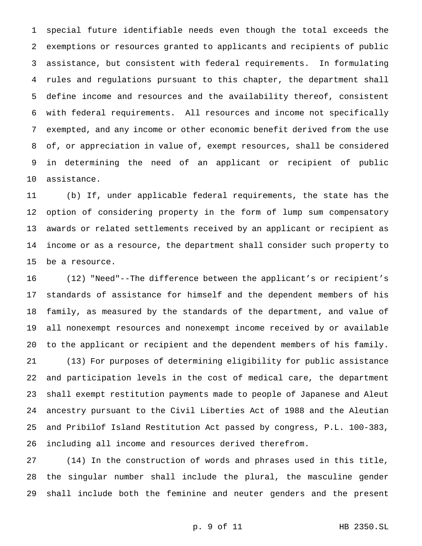special future identifiable needs even though the total exceeds the exemptions or resources granted to applicants and recipients of public assistance, but consistent with federal requirements. In formulating rules and regulations pursuant to this chapter, the department shall define income and resources and the availability thereof, consistent with federal requirements. All resources and income not specifically exempted, and any income or other economic benefit derived from the use of, or appreciation in value of, exempt resources, shall be considered in determining the need of an applicant or recipient of public assistance.

 (b) If, under applicable federal requirements, the state has the option of considering property in the form of lump sum compensatory awards or related settlements received by an applicant or recipient as income or as a resource, the department shall consider such property to be a resource.

 (12) "Need"--The difference between the applicant's or recipient's standards of assistance for himself and the dependent members of his family, as measured by the standards of the department, and value of all nonexempt resources and nonexempt income received by or available to the applicant or recipient and the dependent members of his family. (13) For purposes of determining eligibility for public assistance and participation levels in the cost of medical care, the department shall exempt restitution payments made to people of Japanese and Aleut ancestry pursuant to the Civil Liberties Act of 1988 and the Aleutian and Pribilof Island Restitution Act passed by congress, P.L. 100-383, including all income and resources derived therefrom.

 (14) In the construction of words and phrases used in this title, the singular number shall include the plural, the masculine gender shall include both the feminine and neuter genders and the present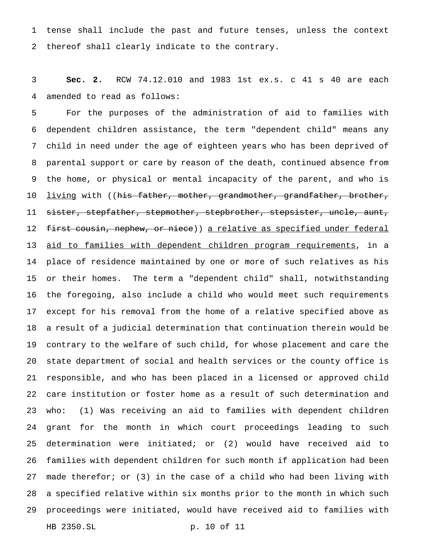tense shall include the past and future tenses, unless the context thereof shall clearly indicate to the contrary.

 **Sec. 2.** RCW 74.12.010 and 1983 1st ex.s. c 41 s 40 are each amended to read as follows:

 For the purposes of the administration of aid to families with dependent children assistance, the term "dependent child" means any child in need under the age of eighteen years who has been deprived of parental support or care by reason of the death, continued absence from the home, or physical or mental incapacity of the parent, and who is 10 <u>living</u> with ((<del>his father, mother, grandmother, grandfather, brother,</del> 11 sister, stepfather, stepmother, stepbrother, stepsister, uncle, aunt, 12 f<del>irst cousin, nephew, or niece</del>)) <u>a relative as specified under federal</u> 13 <u>aid to families with dependent children program requirements</u>, in a place of residence maintained by one or more of such relatives as his or their homes. The term a "dependent child" shall, notwithstanding the foregoing, also include a child who would meet such requirements except for his removal from the home of a relative specified above as a result of a judicial determination that continuation therein would be contrary to the welfare of such child, for whose placement and care the state department of social and health services or the county office is responsible, and who has been placed in a licensed or approved child care institution or foster home as a result of such determination and who: (1) Was receiving an aid to families with dependent children grant for the month in which court proceedings leading to such determination were initiated; or (2) would have received aid to families with dependent children for such month if application had been made therefor; or (3) in the case of a child who had been living with a specified relative within six months prior to the month in which such proceedings were initiated, would have received aid to families with HB 2350.SL p. 10 of 11